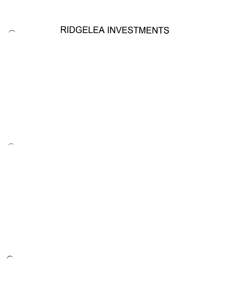RIDGELEA INVESTMENTS

 $\sim 10$ 

 $\frac{1}{2} \frac{1}{2} \frac{1}{2} \frac{1}{2} \frac{1}{2}$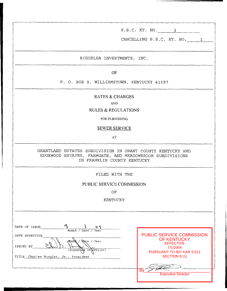P.S.C. KY. NO. *2* 

CANCELLING P.S.C. KY. NO. 1

RIDGELEA INVESTMENTS, INC.

OF

P. *0.* BOX 9, WILLIAMSTOWN, KENTUCKY 41097

### RATES & CHARGES

**AND** 

#### RULES & REGULATIONS

FOR FURNISHING

SEWER SERVICE

**AT** 

GRANTLAND ESTATES SUBDIVISION IN GRANT COUNTY KENTUCKY AND IN FRANKLIN COUNTY KENTUCKY EDGEWOOD ESTATES, FARMGATE, AND MEADOWBROOK SUBDIVISIONS

FILED WITH THE

## PUBLIC SERVICE COMMISSION

OF

KENTUCKY

| o 4<br>DATE OF ISSUE                                                                 |                                                                                 |
|--------------------------------------------------------------------------------------|---------------------------------------------------------------------------------|
| Month / Date / Year                                                                  | <b>PUBLIC SERVICE COMMISSION</b>                                                |
| DATE EFFECTIVE<br><b>Date</b> / Year<br>Month<br>ISSUED BY<br>(Signature of Officer) | <b>OF KENTUCKY</b><br><b>EFFECTIVE</b><br>7/1/2004<br>PURSUANT TO 807 KAR 5:011 |
| Charles Hungler, Jr., President<br>TITLE                                             | SECTION 9(1)                                                                    |
|                                                                                      | <b>B</b> <sub>v</sub>                                                           |
|                                                                                      | <b>Executive Director</b>                                                       |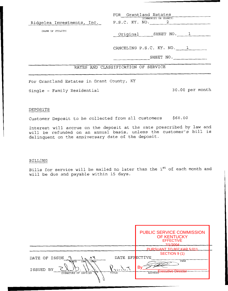| Ridgelea Investments, Inc. P.S.C. KY. NO. 2 | FOR Grantland Estates<br>(COMMUNITY OR COUNTY) |
|---------------------------------------------|------------------------------------------------|
| (NAME OF UTILITY)                           | Original SHEET NO. 1                           |
|                                             | CANCELING P.S.C. KY. NO. 1                     |
|                                             | SHEET NO.                                      |
|                                             | RATES AND CLASSIFICATION OF SERVICE            |
| For Grantland Estates in Grant County, KY   |                                                |
| Single - Family Residential                 | 30.00 per month                                |

#### DEPOSITS

Customer Deposit to be collected from all customers \$60.00

Interest will accrue on the deposit at the rate prescribed by law and will be refunded on an annual basis, unless the customer's bill is delinquent on the anniversary date of the deposit.

#### BILLING

Bills for service will be mailed no later than the 1st of each month and will be due and payable within 15 days.

|                                                                                     | <b>PUBLIC SERVICE COMMISSION</b><br><b>OF KENTUCKY</b><br><b>EFFECTIVE</b><br>7/1/2004 |
|-------------------------------------------------------------------------------------|----------------------------------------------------------------------------------------|
|                                                                                     | PURSUANT TO 807 KAR 5:011                                                              |
|                                                                                     | SECTION 9(1)                                                                           |
| DATE EFFECTIVE<br>DATE OF ISSUE<br>s.                                               |                                                                                        |
| <b>NONTH</b><br>DAY<br>YEAR<br>vorder<br>ISSUED BY<br>SIGNATURE OF OFFICER<br>TITLE | YEAR<br>B٧<br>Executive Director<br><b>ADDRESS</b>                                     |
|                                                                                     |                                                                                        |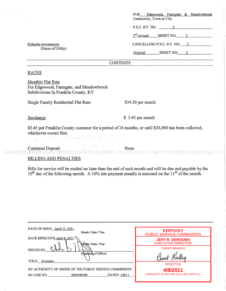|                                                                                                                                                                                                                                                     |      | Edgewood, Farmgate & Meadowbrook<br><b>FOR</b><br>Community, Town or City                                                                                                                                                       |
|-----------------------------------------------------------------------------------------------------------------------------------------------------------------------------------------------------------------------------------------------------|------|---------------------------------------------------------------------------------------------------------------------------------------------------------------------------------------------------------------------------------|
|                                                                                                                                                                                                                                                     |      | P.S.C. KY. NO. $\qquad \qquad 2 \qquad \qquad$                                                                                                                                                                                  |
|                                                                                                                                                                                                                                                     |      | $2nd$ revised SHEET NO. 2                                                                                                                                                                                                       |
| Ridgelea Investments                                                                                                                                                                                                                                |      | CANCELLING P.S.C. KY. NO. 2                                                                                                                                                                                                     |
| (Name of Utility)                                                                                                                                                                                                                                   |      | Original SHEET NO. 2                                                                                                                                                                                                            |
| <b>CONTENTS</b>                                                                                                                                                                                                                                     |      |                                                                                                                                                                                                                                 |
| <b>RATES</b>                                                                                                                                                                                                                                        |      |                                                                                                                                                                                                                                 |
| <b>Monthly Flat Rate</b><br>For Edgewood, Farmgate, and Meadowbrook<br>Subdivisions In Franklin County, KY                                                                                                                                          |      |                                                                                                                                                                                                                                 |
| Single Family Residential Flat Rate                                                                                                                                                                                                                 |      | $$34.50$ per month                                                                                                                                                                                                              |
| Surcharge                                                                                                                                                                                                                                           |      | $$5.45$ per month                                                                                                                                                                                                               |
| \$5.45 per Franklin County customer for a period of 24 months, or until \$26,000 has been collected,<br>whichever occurs first.<br><u> 1990 - Jan Joodan Karl III, fransk filozof (d. 1980)</u><br>1980 - Johann Britt, skrivetsk filozof (d. 1980) |      |                                                                                                                                                                                                                                 |
| $\mathcal{L}^{\text{max}}_{\text{max}}$ , $\mathcal{L}^{\text{max}}_{\text{max}}$ , $\mathcal{L}^{\text{max}}_{\text{max}}$<br><b>Example 18 Customer Deposit</b>                                                                                   | None | o destructives as sources sources entre serva des addeux son comparadores de serva en alguns de la consecuenci<br>Profilmante de la comparadores de la comparadores de la comparadores de la comparadores de la comparadores de |
| <b>BILLING AND PENALTIES</b>                                                                                                                                                                                                                        |      |                                                                                                                                                                                                                                 |
| Bills for service will be mailed no later than the end of each month and will be due and payable by the<br>$10th$ day of the following month. A 10% late payment penalty is assessed on the 11 <sup>th</sup> of the month.                          |      |                                                                                                                                                                                                                                 |
|                                                                                                                                                                                                                                                     |      |                                                                                                                                                                                                                                 |
|                                                                                                                                                                                                                                                     |      |                                                                                                                                                                                                                                 |
|                                                                                                                                                                                                                                                     |      |                                                                                                                                                                                                                                 |
|                                                                                                                                                                                                                                                     |      |                                                                                                                                                                                                                                 |
| DATE OF ISSUE_April 11, 2011                                                                                                                                                                                                                        |      |                                                                                                                                                                                                                                 |
| Month / Date / Year                                                                                                                                                                                                                                 |      | <b>KENTUCKY</b><br>PUBLIC SERVICE COMMISSION                                                                                                                                                                                    |
| DATE EFFECTIVE April 8, 2011<br>Dath / Date / Year                                                                                                                                                                                                  | ΥŶ   | <b>JEFF R. DEROUEN</b><br><b>EXECUTIVE DIRECTOR</b>                                                                                                                                                                             |
| ISSUED BY<br>(Signature of Officer)                                                                                                                                                                                                                 |      | <b>TARIFF BRANCH</b>                                                                                                                                                                                                            |
| いちいから エーチル ねいせい<br>TITLE President                                                                                                                                                                                                                  |      |                                                                                                                                                                                                                                 |
| BY AUTHORITY OF ORDER OF THE PUBLIC SERVICE COMMISSION                                                                                                                                                                                              |      | <b>EFFECTIVE</b><br>4/8/2011                                                                                                                                                                                                    |
| 2009-00500<br>DATED 4/8/11<br>IN CASE NO.                                                                                                                                                                                                           |      | PURSUANT TO 807 KAR 5:011 SECTION 9 (1)                                                                                                                                                                                         |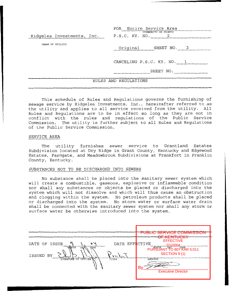|                            | FOR Entire Service Area    |
|----------------------------|----------------------------|
|                            | (COMMUNITY OR COUNTY)      |
| Ridgelea Investments, Inc. | P.S.C. KY. NO. 2           |
|                            |                            |
| (NAME OF UTILITY)          | SHEET NO. 3<br>Original    |
|                            |                            |
|                            |                            |
|                            | CANCELING P.S.C. KY. NO. 1 |
|                            |                            |
|                            | SHEET NO.                  |
|                            |                            |
|                            | RULES AND REGULATIONS      |
|                            |                            |

This schedule of Rules and Regulations governs the furnishing of sewage service by Ridgelea Investments, Inc., hereinafter referred to as the utility and applies to all service received from the utility. All Rules and Regulations are to be in effect so long as they are not in conflict with the rules and regulations of the Public Service The utility is further subject to all Rules and Regulations of the Public Service Commission.

#### SERVICE AREA

The utility furnishes sewer service to Grantland Estates Subdivision located at Dry Ridge in Grant County, Kentucky and Edgewood Estates, Farmgate, and Meadowbrook Subdivisions at Frankfort in Franklin County, Kentucky.

#### SUBSTANCES NOT TO BE DISCHARGED INTO SEWERS

No substance shall be placed into the sanitary sewer system which will create a combustible, gaseous, explosive or inflammable condition nor shall any substances or objects be placed or discharged into the system which will not dissolve and which will thus cause an obstruction and clogging within the system. No petroleum products shall be placed or discharged into the system. No storm water or surface water drain shall be connected with the sanitary sewer system nor shall any storm or surface water be otherwise introduced into the system.

|                                                                                          |                                   | PUBLIC SERVICE COMMISSI<br>AE IZENTUAIA                                                                                |
|------------------------------------------------------------------------------------------|-----------------------------------|------------------------------------------------------------------------------------------------------------------------|
| o y<br>DATE OF ISSUE<br>WONTH<br><b>DAY</b><br>YEAR<br>ISSUED BY<br>SIGNATURE OF OFFICER | DATE EFFECTIVE<br>AM VVM<br>TITLE | <u>NEIVTUCKI</u><br><b>EFFECTIVE</b><br>7/1/2004<br>PURSUANT TO 807 KAR 5:011<br>SECTION 9 (1)<br><b>ADDRESS</b><br>Bv |
|                                                                                          |                                   | <b>Executive Director</b>                                                                                              |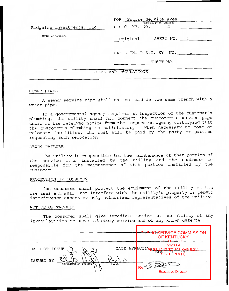| Ridgelea Investments, Inc. | FOR Entire Service Area<br>(COMMUNITY OR COUNTY)<br>P.S.C. KY. NO. 2 |
|----------------------------|----------------------------------------------------------------------|
| (NAME OF UTILITY)          | Original SHEET NO. 4                                                 |
|                            | CANCELING P.S.C. KY. NO. 1                                           |
|                            | SHEET NO.                                                            |
|                            | RULES AND REGULATIONS                                                |
|                            |                                                                      |

#### SEWER LINES

A sewer service pipe shall not be laid in the same trench with a water pipe.

If a governmental agency requires an inspection of the customer's plumbing, the utility shall not connect the customer's service pipe until it has received notice from the inspection agency certifying that the customer's plumbing is satisfactory. When necessary to move or relocate facilities, the cost will be paid by the party or parties requesting such relocation.

#### SEWER FAILURE

The utility is responsible for the maintenance of that portion of the service line installed by the utility and the customer is responsible for the maintenance of that portion installed by the customer.

#### PROTECTION BY CONSUMER

The consumer shall protect the equipment of the utility on his premises and shall not interfere with the utility's property or permit interference except by duly authorized representatives of the utility.

#### NOTICE OF TROUBLE

The consumer shall give immediate notice to the utility of any irregularities or unsatisfactory service and of any known defects.

|                                                                                                       |             | <u>PUBLIC SERVICE COMMISSI</u><br>OF KENTUCKY<br><del>EFFECTIVE</del>                                                           |  |
|-------------------------------------------------------------------------------------------------------|-------------|---------------------------------------------------------------------------------------------------------------------------------|--|
| DATE OF ISSUE<br>७५<br><b>NEAR</b><br><b>MONTH</b><br><b>DAY</b><br>ISSUED BY<br>SIGNATURE OF OFFICER | へい<br>TITLE | 7/1/2004<br>DATE EFRECTIVERS!<br>807 KAR 5:014<br><b>REE TO BE THE BEST</b><br>(1) SECTION 9<br>B۷<br><b>Executive Director</b> |  |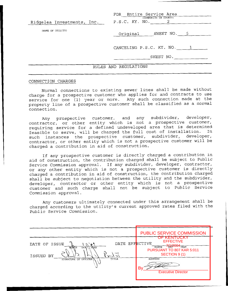| Ridgelea Investments, Inc. P.S.C. KY. NO. 2 | FOR Entire Service Area<br>(COMMUNITY OR COUNTY) |
|---------------------------------------------|--------------------------------------------------|
| (NAME OF UTILITY)                           | Original SHEET NO. 5                             |
|                                             | CANCELING P.S.C. KY. NO. 1                       |
|                                             | SHEET NO.                                        |
|                                             | RULES AND REGULATIONS                            |

#### CONNECTION CHARGES

Normal connections to existing sewer lines shall be made without charge for a prospective customer who applies for and contracts to use service for one (1) year or more. Any such connection made at the property line of a prospective customer shall be classified as a normal connection.

Any prospective customer, and any subdivider, developer, contractor, or other entity which is not a prospective customer, requiring service for a defined undeveloped area that is determined<br>foasible to serve, will be charged the full cost of installation. In feasible to serve, will be charged the full cost of installation. In<br>such instances, the prospective customer, subdivider, developer, such instances the prospective customer, subdivider, contractor, or other entity which is not a prospective customer will be charged a contribution in aid of construction.

If any prospective customer is directly charged a contribution in aid of construction, the contribution charged shall be subject to Public Service Commission approval. If any subdivider, developer, contractor, or any other entity which is not a prospective customer is directly charged a contribution in aid of construction, the contribution charged shall be subject to negotiation between the utility and the subdivider, developer, contractor or other entity which is not a prospective customer and such charge shall not be subject to Public Service Commission approval.

Any customers ultimately connected under this arrangement shall be charged according to the utility's current approved rates filed with the Public Service Commission.

|                                                                                                                                        | <b>PUBLIC SERVICE COMMISSION</b>                                                                                                                                        |
|----------------------------------------------------------------------------------------------------------------------------------------|-------------------------------------------------------------------------------------------------------------------------------------------------------------------------|
| DATE EFFECTIVE<br>DATE OF ISSUE<br>YEAR<br><b>DAY</b><br>MONTH<br>ISSUED<br>$_{\rm BY}$<br>بار د مار<br>TITLE<br>SIGNATURE OF OFFICER\ | OF KENTUCKY<br><b>EFFECTIVE</b><br>761/2004 <sub>YEAR</sub><br>MONTH<br>PURSUANT TO 807 KAR 5:011<br>SECTION 9 (1)<br><b>ADDRESS</b><br>B٧<br><b>Executive Director</b> |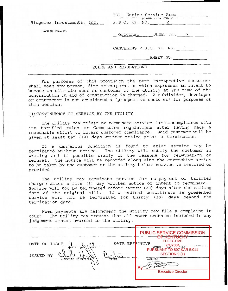| Ridgelea Investments, Inc. | FOR Entire Service Area<br>(COMMUNITY OR COUNTY)<br>P.S.C. KY. NO. 2 |
|----------------------------|----------------------------------------------------------------------|
| (NAME OF UTILITY)          | Original SHEET NO. 6                                                 |
|                            | CANCELING P.S.C. KY. NO. 1<br>SHEET NO.                              |
|                            | RULES AND REGULATIONS                                                |

For purposes of this provision the term "prospective customer" shall mean any person, firm or corporation which expresses an intent to become an ultimate user or customer of the utility at the time of the contribution in aid of construction is charged. A subdivider, developer or contractor is not considered a "prospective customer" for purposes of this section.

#### DISCONTINUANCE OF SERVICE BY THE UTILITY

The utility may refuse or terminate service for noncompliance with its tariffed rules or Commission regulations after having made a reasonable effort to obtain customer compliance. Said customer will be given at least ten (10) days written notice prior to termination.

If a dangerous condition is found to exist service may be terminated without notice. The utility will notify the customer in writing and if possible orally of the reasons for termination or refusal. The notice will be recorded along with the corrective action to be taken by the customer or the utility before service is restored or provided.

The utility may terminate service for nonpayment of tariffed charges after a five (5) day written notice of intent to terminate. Service will not be terminated before twenty (20) days after the mailing date of the original bill. If a medical certificate is presented service will not be terminated for thirty (30) days beyond the termination date.

When payments are delinquent the utility may file a complaint in court. The utility may request that all court costs be included in any judgement amount awarded to the utility.

| <b>PUBLIC SERVICE COMMISSION</b><br><del>OF KENTUCKY</del><br><b>EFFECTIVE</b><br>DATE EFFECTIVE<br>DATE OF ISSUE<br>৩ ৸<br>7/1/2004<br>TANZUUT <sub>YEAR</sub><br>MONTH<br><b>YEAR</b><br><b>ARX</b><br>NONTH<br>PURSUANT TO 807 KAR 5:011<br>SECTION 9 (1)<br>ISSUED<br>ВY<br>$\sim$<br><b>ADDRESS</b><br>SIGNATURE OF OFFICER<br>TITLE<br>Bv<br><b>Executive Director</b> |  |  |  |
|------------------------------------------------------------------------------------------------------------------------------------------------------------------------------------------------------------------------------------------------------------------------------------------------------------------------------------------------------------------------------|--|--|--|
|                                                                                                                                                                                                                                                                                                                                                                              |  |  |  |
|                                                                                                                                                                                                                                                                                                                                                                              |  |  |  |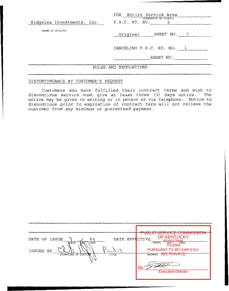| Ridgelea Investments, Inc. P.S.C. KY. NO. 2 | FOR Entire Service Area<br>(COMMUNITY OR COUNTY) |  |
|---------------------------------------------|--------------------------------------------------|--|
| (NAME OF UTILITY)                           | Original<br>SHEET NO. 7                          |  |
|                                             | CANCELING P.S.C. KY. NO. 1<br>SHEET NO.          |  |
| RULES AND REGULATIONS                       |                                                  |  |

## DISCONTINUANCE AT CUSTOMER'S REQUEST

Customers who have fulfilled their contract terms and wish to discontinue service must give at least three *(3)* days notice. The notice may be given in writing or in person or via telephone. Notice to discontinue prior to expiration of contract term will not relieve the customer from any minimum or guaranteed payment.

|                                      |               | DUDLIC CEDVICE COMMICQUON                                                 |
|--------------------------------------|---------------|---------------------------------------------------------------------------|
| DATE OF ISSUE<br>$\sim \sigma$       |               | <b>UURINIDO</b><br><b>OF KENTUCKY</b><br>DATE EFFECTIVE                   |
| MONTH<br>YEAR<br>DAY.                |               | <b>EFFECTIVE</b><br>"DAY" YEAR<br>7/1/2004<br>MONTH                       |
| ISSUED<br>ВY<br>SIGNATURE OF OFFICER | ひしいり<br>TITLE | PURSUANT TO 807 KAR 5:011<br><del>SECTION 9 (1)</del> ל<br><b>ADDRESS</b> |
|                                      |               | B٧<br><b>Executive Director</b>                                           |